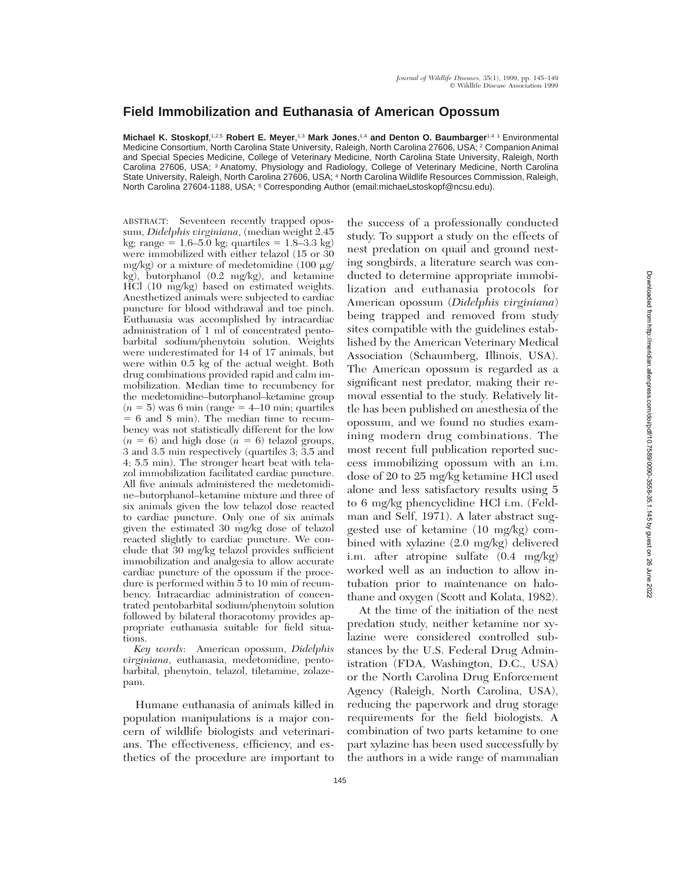## **Field Immobilization and Euthanasia of American Opossum**

**Michael K. Stoskopf**, 1,2,5 **Robert E. Meyer**, 1,3 **Mark Jones**, 1,4 **and Denton O. Baumbarger**1,4 1 Environmental Medicine Consortium, North Carolina State University, Raleigh, North Carolina 27606, USA; <sup>2</sup> Companion Animal and Special Species Medicine, College of Veterinary Medicine, North Carolina State University, Raleigh, North Carolina 27606, USA; <sup>3</sup> Anatomy, Physiology and Radiology, College of Veterinary Medicine, North Carolina State University, Raleigh, North Carolina 27606, USA; <sup>4</sup> North Carolina Wildlife Resources Commission, Raleigh, North Carolina 27604-1188, USA; <sup>5</sup> Corresponding Author (email:michael\_stoskopf@ncsu.edu).

ABSTRACT: Seventeen recently trapped opossum, *Didelphis virginiana*, (median weight 2.45 kg; range =  $1.6-5.0$  kg; quartiles =  $1.8-3.3$  kg) were immobilized with either telazol (15 or 30 mg/kg) or a mixture of medetomidine (100  $\mu$ g/ kg), butorphanol (0.2 mg/kg), and ketamine HCl (10 mg/kg) based on estimated weights. Anesthetized animals were subjected to cardiac puncture for blood withdrawal and toe pinch. Euthanasia was accomplished by intracardiac administration of 1 ml of concentrated pentobarbital sodium/phenytoin solution. Weights were underestimated for 14 of 17 animals, but were within 0.5 kg of the actual weight. Both drug combinations provided rapid and calm immobilization. Median time to recumbency for the medetomidine–butorphanol–ketamine group  $(n = 5)$  was 6 min (range  $= 4$ –10 min; quartiles  $= 6$  and 8 min). The median time to recumbency was not statistically different for the low  $(n = 6)$  and high dose  $(n = 6)$  telazol groups, 3 and 3.5 min respectively (quartiles 3; 3.5 and 4; 5.5 min). The stronger heart beat with telazol immobilization facilitated cardiac puncture. All five animals administered the medetomidine–butorphanol–ketamine mixture and three of six animals given the low telazol dose reacted to cardiac puncture. Only one of six animals given the estimated 30 mg/kg dose of telazol reacted slightly to cardiac puncture. We conclude that 30 mg/kg telazol provides sufficient immobilization and analgesia to allow accurate cardiac puncture of the opossum if the procedure is performed within 5 to 10 min of recumbency. Intracardiac administration of concentrated pentobarbital sodium/phenytoin solution followed by bilateral thoracotomy provides appropriate euthanasia suitable for field situations.

*Key words*: American opossum, *Didelphis virginiana*, euthanasia, medetomidine, pentobarbital, phenytoin, telazol, tiletamine, zolazepam.

Humane euthanasia of animals killed in population manipulations is a major concern of wildlife biologists and veterinarians. The effectiveness, efficiency, and esthetics of the procedure are important to the success of a professionally conducted study. To support a study on the effects of nest predation on quail and ground nesting songbirds, a literature search was conducted to determine appropriate immobilization and euthanasia protocols for American opossum (*Didelphis virginiana*) being trapped and removed from study sites compatible with the guidelines established by the American Veterinary Medical Association (Schaumberg, Illinois, USA). The American opossum is regarded as a significant nest predator, making their removal essential to the study. Relatively little has been published on anesthesia of the opossum, and we found no studies examining modern drug combinations. The most recent full publication reported success immobilizing opossum with an i.m. dose of 20 to 25 mg/kg ketamine HCl used alone and less satisfactory results using 5 to 6 mg/kg phencyclidine HCl i.m. (Feldman and Self, 1971). A later abstract suggested use of ketamine (10 mg/kg) combined with xylazine (2.0 mg/kg) delivered i.m. after atropine sulfate (0.4 mg/kg) worked well as an induction to allow intubation prior to maintenance on halothane and oxygen (Scott and Kolata, 1982).

At the time of the initiation of the nest predation study, neither ketamine nor xylazine were considered controlled substances by the U.S. Federal Drug Administration (FDA, Washington, D.C., USA) or the North Carolina Drug Enforcement Agency (Raleigh, North Carolina, USA), reducing the paperwork and drug storage requirements for the field biologists. A combination of two parts ketamine to one part xylazine has been used successfully by the authors in a wide range of mammalian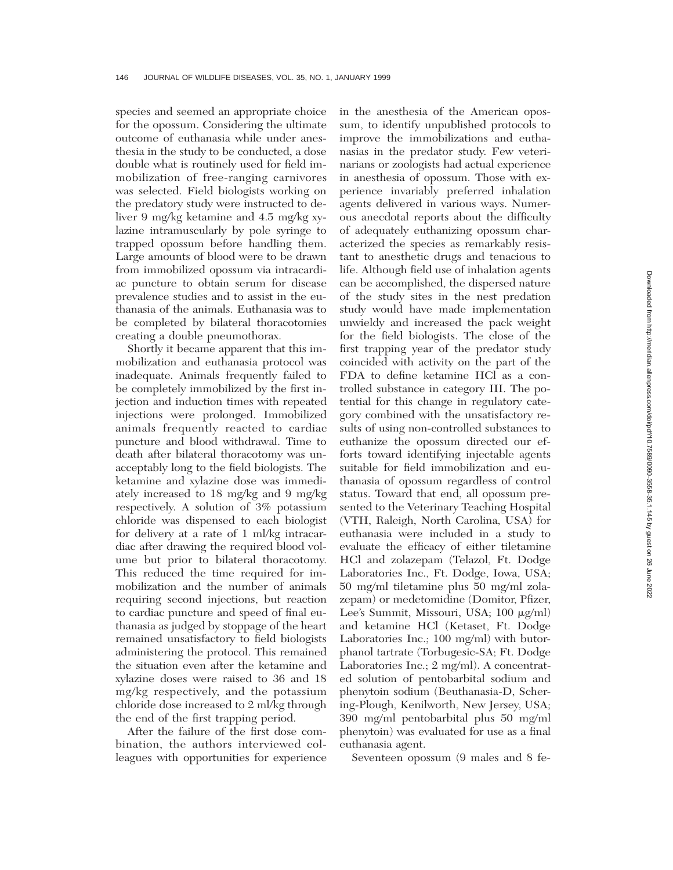species and seemed an appropriate choice for the opossum. Considering the ultimate outcome of euthanasia while under anesthesia in the study to be conducted, a dose double what is routinely used for field immobilization of free-ranging carnivores was selected. Field biologists working on the predatory study were instructed to deliver 9 mg/kg ketamine and 4.5 mg/kg xylazine intramuscularly by pole syringe to trapped opossum before handling them. Large amounts of blood were to be drawn from immobilized opossum via intracardiac puncture to obtain serum for disease prevalence studies and to assist in the euthanasia of the animals. Euthanasia was to be completed by bilateral thoracotomies creating a double pneumothorax.

Shortly it became apparent that this immobilization and euthanasia protocol was inadequate. Animals frequently failed to be completely immobilized by the first injection and induction times with repeated injections were prolonged. Immobilized animals frequently reacted to cardiac puncture and blood withdrawal. Time to death after bilateral thoracotomy was unacceptably long to the field biologists. The ketamine and xylazine dose was immediately increased to 18 mg/kg and 9 mg/kg respectively. A solution of 3% potassium chloride was dispensed to each biologist for delivery at a rate of 1 ml/kg intracardiac after drawing the required blood volume but prior to bilateral thoracotomy. This reduced the time required for immobilization and the number of animals requiring second injections, but reaction to cardiac puncture and speed of final euthanasia as judged by stoppage of the heart remained unsatisfactory to field biologists administering the protocol. This remained the situation even after the ketamine and xylazine doses were raised to 36 and 18 mg/kg respectively, and the potassium chloride dose increased to 2 ml/kg through the end of the first trapping period.

After the failure of the first dose combination, the authors interviewed colleagues with opportunities for experience in the anesthesia of the American opossum, to identify unpublished protocols to improve the immobilizations and euthanasias in the predator study. Few veterinarians or zoologists had actual experience in anesthesia of opossum. Those with experience invariably preferred inhalation agents delivered in various ways. Numerous anecdotal reports about the difficulty of adequately euthanizing opossum characterized the species as remarkably resistant to anesthetic drugs and tenacious to life. Although field use of inhalation agents can be accomplished, the dispersed nature of the study sites in the nest predation study would have made implementation unwieldy and increased the pack weight for the field biologists. The close of the first trapping year of the predator study coincided with activity on the part of the FDA to define ketamine HCl as a controlled substance in category III. The potential for this change in regulatory category combined with the unsatisfactory results of using non-controlled substances to euthanize the opossum directed our efforts toward identifying injectable agents suitable for field immobilization and euthanasia of opossum regardless of control status. Toward that end, all opossum presented to the Veterinary Teaching Hospital (VTH, Raleigh, North Carolina, USA) for euthanasia were included in a study to evaluate the efficacy of either tiletamine HCl and zolazepam (Telazol, Ft. Dodge Laboratories Inc., Ft. Dodge, Iowa, USA; 50 mg/ml tiletamine plus 50 mg/ml zolazepam) or medetomidine (Domitor, Pfizer, Lee's Summit, Missouri, USA; 100 µg/ml) and ketamine HCl (Ketaset, Ft. Dodge Laboratories Inc.; 100 mg/ml) with butorphanol tartrate (Torbugesic-SA; Ft. Dodge Laboratories Inc.; 2 mg/ml). A concentrated solution of pentobarbital sodium and phenytoin sodium (Beuthanasia-D, Schering-Plough, Kenilworth, New Jersey, USA; 390 mg/ml pentobarbital plus 50 mg/ml phenytoin) was evaluated for use as a final euthanasia agent.

Seventeen opossum (9 males and 8 fe-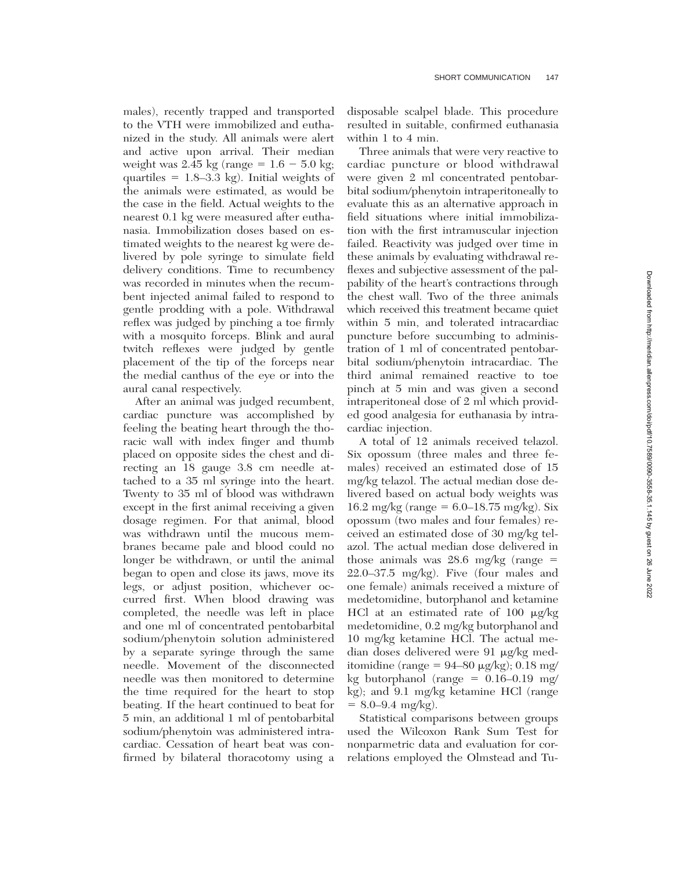males), recently trapped and transported to the VTH were immobilized and euthanized in the study. All animals were alert and active upon arrival. Their median weight was 2.45 kg (range  $= 1.6 - 5.0$  kg; quartiles  $= 1.8 - 3.3$  kg). Initial weights of the animals were estimated, as would be the case in the field. Actual weights to the nearest 0.1 kg were measured after euthanasia. Immobilization doses based on estimated weights to the nearest kg were delivered by pole syringe to simulate field delivery conditions. Time to recumbency was recorded in minutes when the recumbent injected animal failed to respond to gentle prodding with a pole. Withdrawal reflex was judged by pinching a toe firmly with a mosquito forceps. Blink and aural twitch reflexes were judged by gentle placement of the tip of the forceps near the medial canthus of the eye or into the aural canal respectively.

After an animal was judged recumbent, cardiac puncture was accomplished by feeling the beating heart through the thoracic wall with index finger and thumb placed on opposite sides the chest and directing an 18 gauge 3.8 cm needle attached to a 35 ml syringe into the heart. Twenty to 35 ml of blood was withdrawn except in the first animal receiving a given dosage regimen. For that animal, blood was withdrawn until the mucous membranes became pale and blood could no longer be withdrawn, or until the animal began to open and close its jaws, move its legs, or adjust position, whichever occurred first. When blood drawing was completed, the needle was left in place and one ml of concentrated pentobarbital sodium/phenytoin solution administered by a separate syringe through the same needle. Movement of the disconnected needle was then monitored to determine the time required for the heart to stop beating. If the heart continued to beat for 5 min, an additional 1 ml of pentobarbital sodium/phenytoin was administered intracardiac. Cessation of heart beat was confirmed by bilateral thoracotomy using a disposable scalpel blade. This procedure resulted in suitable, confirmed euthanasia within 1 to 4 min.

Three animals that were very reactive to cardiac puncture or blood withdrawal were given 2 ml concentrated pentobarbital sodium/phenytoin intraperitoneally to evaluate this as an alternative approach in field situations where initial immobilization with the first intramuscular injection failed. Reactivity was judged over time in these animals by evaluating withdrawal reflexes and subjective assessment of the palpability of the heart's contractions through the chest wall. Two of the three animals which received this treatment became quiet within 5 min, and tolerated intracardiac puncture before succumbing to administration of 1 ml of concentrated pentobarbital sodium/phenytoin intracardiac. The third animal remained reactive to toe pinch at 5 min and was given a second intraperitoneal dose of 2 ml which provided good analgesia for euthanasia by intracardiac injection.

A total of 12 animals received telazol. Six opossum (three males and three females) received an estimated dose of 15 mg/kg telazol. The actual median dose delivered based on actual body weights was 16.2 mg/kg (range =  $6.0-18.75$  mg/kg). Six opossum (two males and four females) received an estimated dose of 30 mg/kg telazol. The actual median dose delivered in those animals was 28.6 mg/kg (range  $=$ 22.0–37.5 mg/kg). Five (four males and one female) animals received a mixture of medetomidine, butorphanol and ketamine HCl at an estimated rate of 100  $\mu$ g/kg medetomidine, 0.2 mg/kg butorphanol and 10 mg/kg ketamine HCl. The actual median doses delivered were 91 mg/kg meditomidine (range =  $94-80 \mu g/kg$ ); 0.18 mg/ kg butorphanol (range  $= 0.16-0.19$  mg/ kg); and 9.1 mg/kg ketamine HCl (range  $= 8.0 - 9.4$  mg/kg).

Statistical comparisons between groups used the Wilcoxon Rank Sum Test for nonparmetric data and evaluation for correlations employed the Olmstead and Tu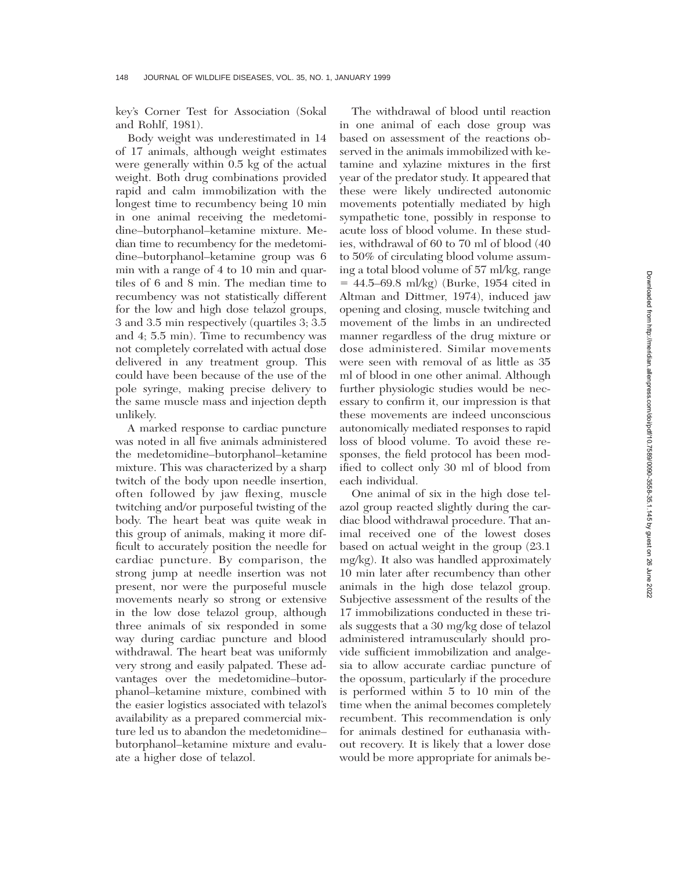key's Corner Test for Association (Sokal and Rohlf, 1981).

Body weight was underestimated in 14 of 17 animals, although weight estimates were generally within 0.5 kg of the actual weight. Both drug combinations provided rapid and calm immobilization with the longest time to recumbency being 10 min in one animal receiving the medetomidine–butorphanol–ketamine mixture. Median time to recumbency for the medetomidine–butorphanol–ketamine group was 6 min with a range of 4 to 10 min and quartiles of 6 and 8 min. The median time to recumbency was not statistically different for the low and high dose telazol groups, 3 and 3.5 min respectively (quartiles 3; 3.5 and 4; 5.5 min). Time to recumbency was not completely correlated with actual dose delivered in any treatment group. This could have been because of the use of the pole syringe, making precise delivery to the same muscle mass and injection depth unlikely.

A marked response to cardiac puncture was noted in all five animals administered the medetomidine–butorphanol–ketamine mixture. This was characterized by a sharp twitch of the body upon needle insertion, often followed by jaw flexing, muscle twitching and/or purposeful twisting of the body. The heart beat was quite weak in this group of animals, making it more difficult to accurately position the needle for cardiac puncture. By comparison, the strong jump at needle insertion was not present, nor were the purposeful muscle movements nearly so strong or extensive in the low dose telazol group, although three animals of six responded in some way during cardiac puncture and blood withdrawal. The heart beat was uniformly very strong and easily palpated. These advantages over the medetomidine–butorphanol–ketamine mixture, combined with the easier logistics associated with telazol's availability as a prepared commercial mixture led us to abandon the medetomidine– butorphanol–ketamine mixture and evaluate a higher dose of telazol.

The withdrawal of blood until reaction in one animal of each dose group was based on assessment of the reactions observed in the animals immobilized with ketamine and xylazine mixtures in the first year of the predator study. It appeared that these were likely undirected autonomic movements potentially mediated by high sympathetic tone, possibly in response to acute loss of blood volume. In these studies, withdrawal of 60 to 70 ml of blood (40 to 50% of circulating blood volume assuming a total blood volume of 57 ml/kg, range  $= 44.5 - 69.8$  ml/kg) (Burke, 1954 cited in Altman and Dittmer, 1974), induced jaw opening and closing, muscle twitching and movement of the limbs in an undirected manner regardless of the drug mixture or dose administered. Similar movements were seen with removal of as little as 35 ml of blood in one other animal. Although further physiologic studies would be necessary to confirm it, our impression is that these movements are indeed unconscious autonomically mediated responses to rapid loss of blood volume. To avoid these responses, the field protocol has been modified to collect only 30 ml of blood from each individual.

One animal of six in the high dose telazol group reacted slightly during the cardiac blood withdrawal procedure. That animal received one of the lowest doses based on actual weight in the group (23.1 mg/kg). It also was handled approximately 10 min later after recumbency than other animals in the high dose telazol group. Subjective assessment of the results of the 17 immobilizations conducted in these trials suggests that a 30 mg/kg dose of telazol administered intramuscularly should provide sufficient immobilization and analgesia to allow accurate cardiac puncture of the opossum, particularly if the procedure is performed within 5 to 10 min of the time when the animal becomes completely recumbent. This recommendation is only for animals destined for euthanasia without recovery. It is likely that a lower dose would be more appropriate for animals be